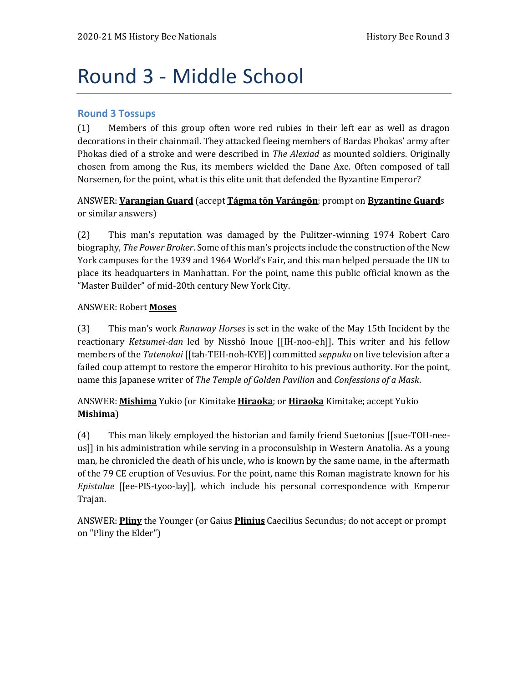# Round 3 - Middle School

#### **Round 3 Tossups**

(1) Members of this group often wore red rubies in their left ear as well as dragon decorations in their chainmail. They attacked fleeing members of Bardas Phokas' army after Phokas died of a stroke and were described in *The Alexiad* as mounted soldiers. Originally chosen from among the Rus, its members wielded the Dane Axe. Often composed of tall Norsemen, for the point, what is this elite unit that defended the Byzantine Emperor?

ANSWER: **Varangian Guard** (accept **Tágma tōn Varángōn**; prompt on **Byzantine Guard**s or similar answers)

(2) This man's reputation was damaged by the Pulitzer-winning 1974 Robert Caro biography, *The Power Broker*. Some of this man's projects include the construction of the New York campuses for the 1939 and 1964 World's Fair, and this man helped persuade the UN to place its headquarters in Manhattan. For the point, name this public official known as the "Master Builder" of mid-20th century New York City.

#### ANSWER: Robert **Moses**

(3) This man's work *Runaway Horses* is set in the wake of the May 15th Incident by the reactionary *Ketsumei-dan* led by Nisshō Inoue [[IH-noo-eh]]. This writer and his fellow members of the *Tatenokai* [[tah-TEH-noh-KYE]] committed *seppuku* on live television after a failed coup attempt to restore the emperor Hirohito to his previous authority. For the point, name this Japanese writer of *The Temple of Golden Pavilion* and *Confessions of a Mask*.

#### ANSWER: **Mishima** Yukio (or Kimitake **Hiraoka**; or **Hiraoka** Kimitake; accept Yukio **Mishima**)

(4) This man likely employed the historian and family friend Suetonius [[sue-TOH-neeus]] in his administration while serving in a proconsulship in Western Anatolia. As a young man, he chronicled the death of his uncle, who is known by the same name, in the aftermath of the 79 CE eruption of Vesuvius. For the point, name this Roman magistrate known for his *Epistulae* [[ee-PIS-tyoo-lay]], which include his personal correspondence with Emperor Trajan.

ANSWER: **Pliny** the Younger (or Gaius **Plinius** Caecilius Secundus; do not accept or prompt on "Pliny the Elder")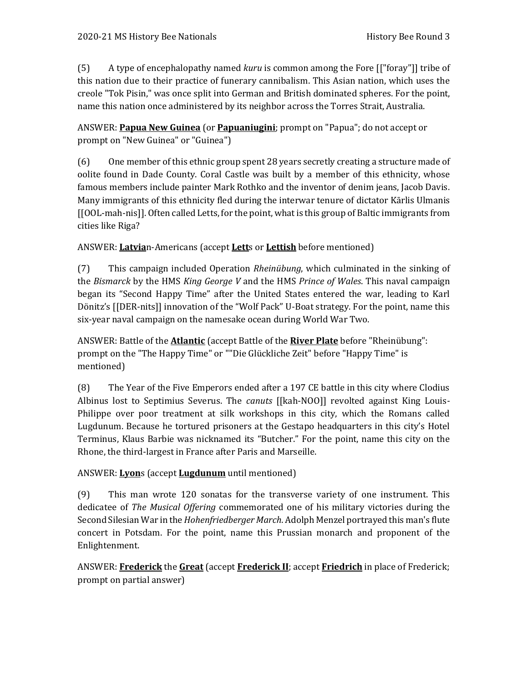(5) A type of encephalopathy named *kuru* is common among the Fore [["foray"]] tribe of this nation due to their practice of funerary cannibalism. This Asian nation, which uses the creole "Tok Pisin," was once split into German and British dominated spheres. For the point, name this nation once administered by its neighbor across the Torres Strait, Australia.

ANSWER: **Papua New Guinea** (or **Papuaniugini**; prompt on "Papua"; do not accept or prompt on "New Guinea" or "Guinea")

(6) One member of this ethnic group spent 28 years secretly creating a structure made of oolite found in Dade County. Coral Castle was built by a member of this ethnicity, whose famous members include painter Mark Rothko and the inventor of denim jeans, Jacob Davis. Many immigrants of this ethnicity fled during the interwar tenure of dictator Kārlis Ulmanis [[OOL-mah-nis]]. Often called Letts, for the point, what is this group of Baltic immigrants from cities like Riga?

ANSWER: **Latvia**n-Americans (accept **Lett**s or **Lettish** before mentioned)

(7) This campaign included Operation *Rheinübung*, which culminated in the sinking of the *Bismarck* by the HMS *King George V* and the HMS *Prince of Wales*. This naval campaign began its "Second Happy Time" after the United States entered the war, leading to Karl Dönitz's [[DER-nits]] innovation of the "Wolf Pack" U-Boat strategy. For the point, name this six-year naval campaign on the namesake ocean during World War Two.

ANSWER: Battle of the **Atlantic** (accept Battle of the **River Plate** before "Rheinübung": prompt on the "The Happy Time" or ""Die Glückliche Zeit" before "Happy Time" is mentioned)

(8) The Year of the Five Emperors ended after a 197 CE battle in this city where Clodius Albinus lost to Septimius Severus. The *canuts* [[kah-NOO]] revolted against King Louis-Philippe over poor treatment at silk workshops in this city, which the Romans called Lugdunum. Because he tortured prisoners at the Gestapo headquarters in this city's Hotel Terminus, Klaus Barbie was nicknamed its "Butcher." For the point, name this city on the Rhone, the third-largest in France after Paris and Marseille.

## ANSWER: **Lyon**s (accept **Lugdunum** until mentioned)

(9) This man wrote 120 sonatas for the transverse variety of one instrument. This dedicatee of *The Musical Offering* commemorated one of his military victories during the Second Silesian War in the *Hohenfriedberger March*. Adolph Menzel portrayed this man's flute concert in Potsdam. For the point, name this Prussian monarch and proponent of the Enlightenment.

ANSWER: **Frederick** the **Great** (accept **Frederick II**; accept **Friedrich** in place of Frederick; prompt on partial answer)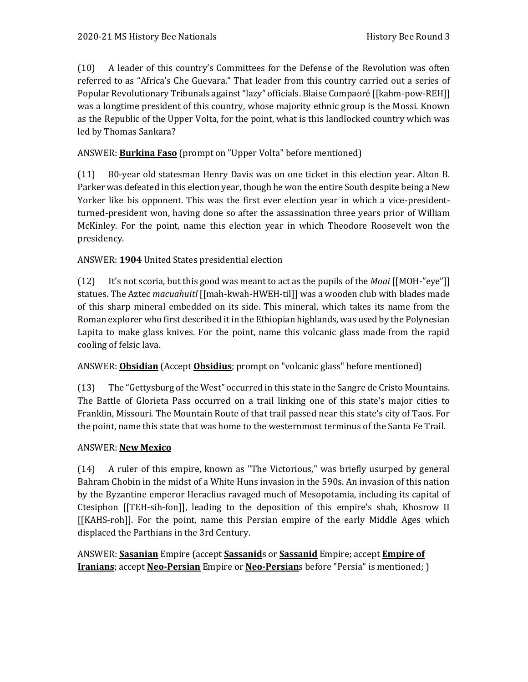(10) A leader of this country's Committees for the Defense of the Revolution was often referred to as "Africa's Che Guevara." That leader from this country carried out a series of Popular Revolutionary Tribunals against "lazy" officials. Blaise Compaoré [[kahm-pow-REH]] was a longtime president of this country, whose majority ethnic group is the Mossi. Known as the Republic of the Upper Volta, for the point, what is this landlocked country which was led by Thomas Sankara?

## ANSWER: **Burkina Faso** (prompt on "Upper Volta" before mentioned)

(11) 80-year old statesman Henry Davis was on one ticket in this election year. Alton B. Parker was defeated in this election year, though he won the entire South despite being a New Yorker like his opponent. This was the first ever election year in which a vice-presidentturned-president won, having done so after the assassination three years prior of William McKinley. For the point, name this election year in which Theodore Roosevelt won the presidency.

## ANSWER: **1904** United States presidential election

(12) It's not scoria, but this good was meant to act as the pupils of the *Moai* [[MOH-"eye"]] statues. The Aztec *macuahuitl* [[mah-kwah-HWEH-til]] was a wooden club with blades made of this sharp mineral embedded on its side. This mineral, which takes its name from the Roman explorer who first described it in the Ethiopian highlands, was used by the Polynesian Lapita to make glass knives. For the point, name this volcanic glass made from the rapid cooling of felsic lava.

#### ANSWER: **Obsidian** (Accept **Obsidius**; prompt on "volcanic glass" before mentioned)

(13) The "Gettysburg of the West" occurred in this state in the Sangre de Cristo Mountains. The Battle of Glorieta Pass occurred on a trail linking one of this state's major cities to Franklin, Missouri. The Mountain Route of that trail passed near this state's city of Taos. For the point, name this state that was home to the westernmost terminus of the Santa Fe Trail.

#### ANSWER: **New Mexico**

(14) A ruler of this empire, known as "The Victorious," was briefly usurped by general Bahram Chobin in the midst of a White Huns invasion in the 590s. An invasion of this nation by the Byzantine emperor Heraclius ravaged much of Mesopotamia, including its capital of Ctesiphon [[TEH-sih-fon]], leading to the deposition of this empire's shah, Khosrow II [[KAHS-roh]]. For the point, name this Persian empire of the early Middle Ages which displaced the Parthians in the 3rd Century.

ANSWER: **Sasanian** Empire (accept **Sassanid**s or **Sassanid** Empire; accept **Empire of Iranians**; accept **Neo-Persian** Empire or **Neo-Persian**s before "Persia" is mentioned; )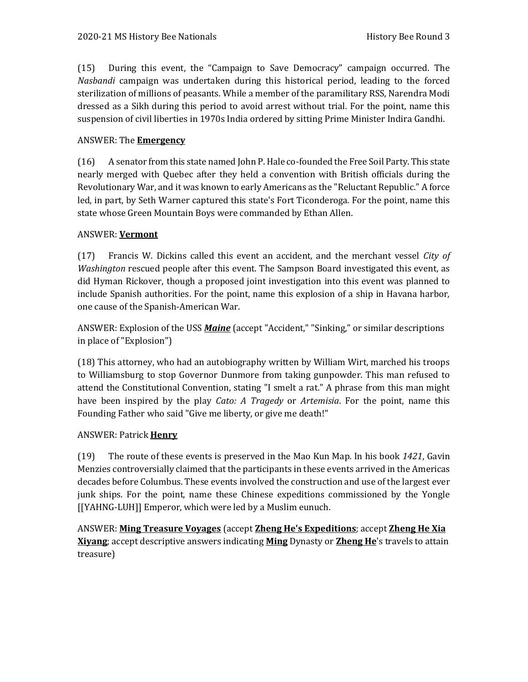(15) During this event, the "Campaign to Save Democracy" campaign occurred. The *Nasbandi* campaign was undertaken during this historical period, leading to the forced sterilization of millions of peasants. While a member of the paramilitary RSS, Narendra Modi dressed as a Sikh during this period to avoid arrest without trial. For the point, name this suspension of civil liberties in 1970s India ordered by sitting Prime Minister Indira Gandhi.

### ANSWER: The **Emergency**

(16) A senator from this state named John P. Hale co-founded the Free Soil Party. This state nearly merged with Quebec after they held a convention with British officials during the Revolutionary War, and it was known to early Americans as the "Reluctant Republic." A force led, in part, by Seth Warner captured this state's Fort Ticonderoga. For the point, name this state whose Green Mountain Boys were commanded by Ethan Allen.

#### ANSWER: **Vermont**

(17) Francis W. Dickins called this event an accident, and the merchant vessel *City of Washington* rescued people after this event. The Sampson Board investigated this event, as did Hyman Rickover, though a proposed joint investigation into this event was planned to include Spanish authorities. For the point, name this explosion of a ship in Havana harbor, one cause of the Spanish-American War.

ANSWER: Explosion of the USS *Maine* (accept "Accident," "Sinking," or similar descriptions in place of "Explosion")

(18) This attorney, who had an autobiography written by William Wirt, marched his troops to Williamsburg to stop Governor Dunmore from taking gunpowder. This man refused to attend the Constitutional Convention, stating "I smelt a rat." A phrase from this man might have been inspired by the play *Cato: A Tragedy* or *Artemisia*. For the point, name this Founding Father who said "Give me liberty, or give me death!"

#### ANSWER: Patrick **Henry**

(19) The route of these events is preserved in the Mao Kun Map. In his book *1421*, Gavin Menzies controversially claimed that the participants in these events arrived in the Americas decades before Columbus. These events involved the construction and use of the largest ever junk ships. For the point, name these Chinese expeditions commissioned by the Yongle [[YAHNG-LUH]] Emperor, which were led by a Muslim eunuch.

ANSWER: **Ming Treasure Voyages** (accept **Zheng He's Expeditions**; accept **Zheng He Xia Xiyang**; accept descriptive answers indicating **Ming** Dynasty or **Zheng He**'s travels to attain treasure)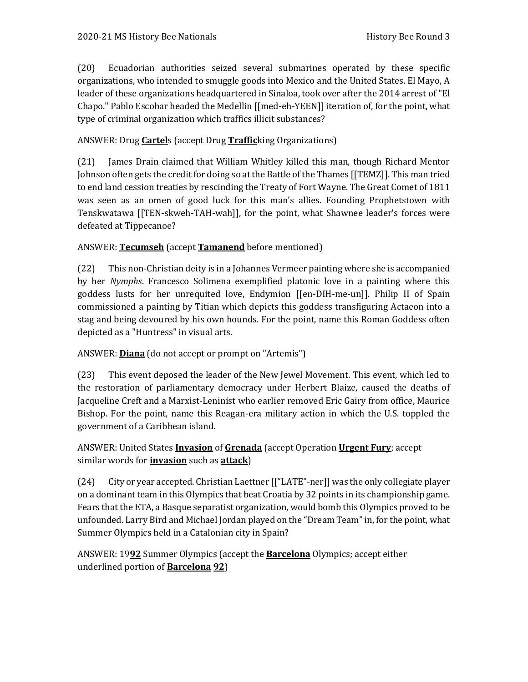(20) Ecuadorian authorities seized several submarines operated by these specific organizations, who intended to smuggle goods into Mexico and the United States. El Mayo, A leader of these organizations headquartered in Sinaloa, took over after the 2014 arrest of "El Chapo." Pablo Escobar headed the Medellin [[med-eh-YEEN]] iteration of, for the point, what type of criminal organization which traffics illicit substances?

### ANSWER: Drug **Cartel**s (accept Drug **Traffic**king Organizations)

(21) James Drain claimed that William Whitley killed this man, though Richard Mentor Johnson often gets the credit for doing so at the Battle of the Thames [[TEMZ]]. This man tried to end land cession treaties by rescinding the Treaty of Fort Wayne. The Great Comet of 1811 was seen as an omen of good luck for this man's allies. Founding Prophetstown with Tenskwatawa [[TEN-skweh-TAH-wah]], for the point, what Shawnee leader's forces were defeated at Tippecanoe?

#### ANSWER: **Tecumseh** (accept **Tamanend** before mentioned)

(22) This non-Christian deity is in a Johannes Vermeer painting where she is accompanied by her *Nymphs*. Francesco Solimena exemplified platonic love in a painting where this goddess lusts for her unrequited love, Endymion [[en-DIH-me-un]]. Philip II of Spain commissioned a painting by Titian which depicts this goddess transfiguring Actaeon into a stag and being devoured by his own hounds. For the point, name this Roman Goddess often depicted as a "Huntress" in visual arts.

#### ANSWER: **Diana** (do not accept or prompt on "Artemis")

(23) This event deposed the leader of the New Jewel Movement. This event, which led to the restoration of parliamentary democracy under Herbert Blaize, caused the deaths of Jacqueline Creft and a Marxist-Leninist who earlier removed Eric Gairy from office, Maurice Bishop. For the point, name this Reagan-era military action in which the U.S. toppled the government of a Caribbean island.

#### ANSWER: United States **Invasion** of **Grenada** (accept Operation **Urgent Fury**; accept similar words for **invasion** such as **attack**)

(24) City or year accepted. Christian Laettner [["LATE"-ner]] was the only collegiate player on a dominant team in this Olympics that beat Croatia by 32 points in its championship game. Fears that the ETA, a Basque separatist organization, would bomb this Olympics proved to be unfounded. Larry Bird and Michael Jordan played on the "Dream Team" in, for the point, what Summer Olympics held in a Catalonian city in Spain?

ANSWER: 19**92** Summer Olympics (accept the **Barcelona** Olympics; accept either underlined portion of **Barcelona 92**)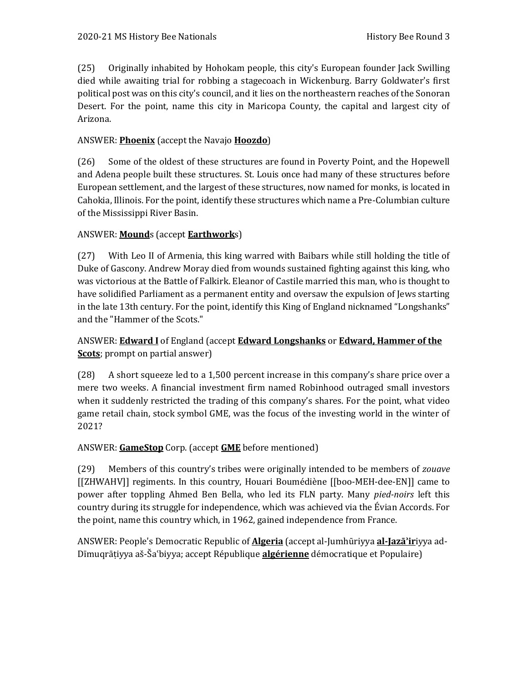(25) Originally inhabited by Hohokam people, this city's European founder Jack Swilling died while awaiting trial for robbing a stagecoach in Wickenburg. Barry Goldwater's first political post was on this city's council, and it lies on the northeastern reaches of the Sonoran Desert. For the point, name this city in Maricopa County, the capital and largest city of Arizona.

### ANSWER: **Phoenix** (accept the Navajo **Hoozdo**)

(26) Some of the oldest of these structures are found in Poverty Point, and the Hopewell and Adena people built these structures. St. Louis once had many of these structures before European settlement, and the largest of these structures, now named for monks, is located in Cahokia, Illinois. For the point, identify these structures which name a Pre-Columbian culture of the Mississippi River Basin.

## ANSWER: **Mound**s (accept **Earthwork**s)

(27) With Leo II of Armenia, this king warred with Baibars while still holding the title of Duke of Gascony. Andrew Moray died from wounds sustained fighting against this king, who was victorious at the Battle of Falkirk. Eleanor of Castile married this man, who is thought to have solidified Parliament as a permanent entity and oversaw the expulsion of Jews starting in the late 13th century. For the point, identify this King of England nicknamed "Longshanks" and the "Hammer of the Scots."

## ANSWER: **Edward I** of England (accept **Edward Longshanks** or **Edward, Hammer of the Scots**; prompt on partial answer)

(28) A short squeeze led to a 1,500 percent increase in this company's share price over a mere two weeks. A financial investment firm named Robinhood outraged small investors when it suddenly restricted the trading of this company's shares. For the point, what video game retail chain, stock symbol GME, was the focus of the investing world in the winter of 2021?

#### ANSWER: **GameStop** Corp. (accept **GME** before mentioned)

(29) Members of this country's tribes were originally intended to be members of *zouave* [[ZHWAHV]] regiments. In this country, Houari Boumédiène [[boo-MEH-dee-EN]] came to power after toppling Ahmed Ben Bella, who led its FLN party. Many *pied-noirs* left this country during its struggle for independence, which was achieved via the Évian Accords. For the point, name this country which, in 1962, gained independence from France.

ANSWER: People's Democratic Republic of **Algeria** (accept al-Jumhūriyya **al-Jazāʾir**iyya ad-Dīmuqrāṭiyya aš-Šaʿbiyya; accept République **algérienne** démocratique et Populaire)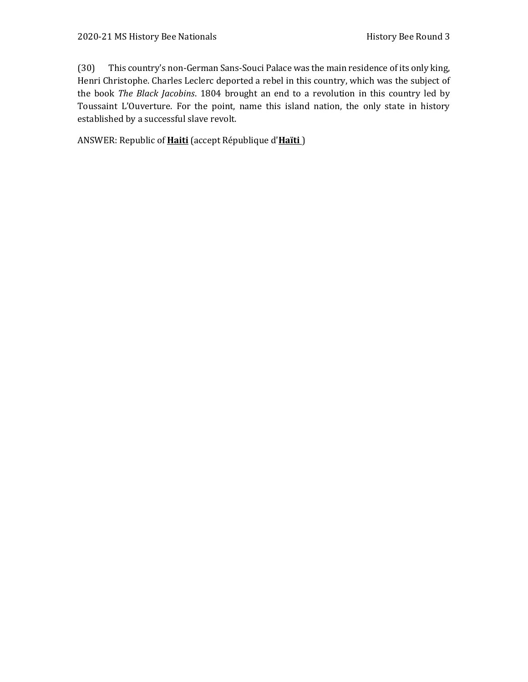(30) This country's non-German Sans-Souci Palace was the main residence of its only king, Henri Christophe. Charles Leclerc deported a rebel in this country, which was the subject of the book *The Black Jacobins*. 1804 brought an end to a revolution in this country led by Toussaint L'Ouverture. For the point, name this island nation, the only state in history established by a successful slave revolt.

ANSWER: Republic of **Haiti** (accept République d'**Haïti** )